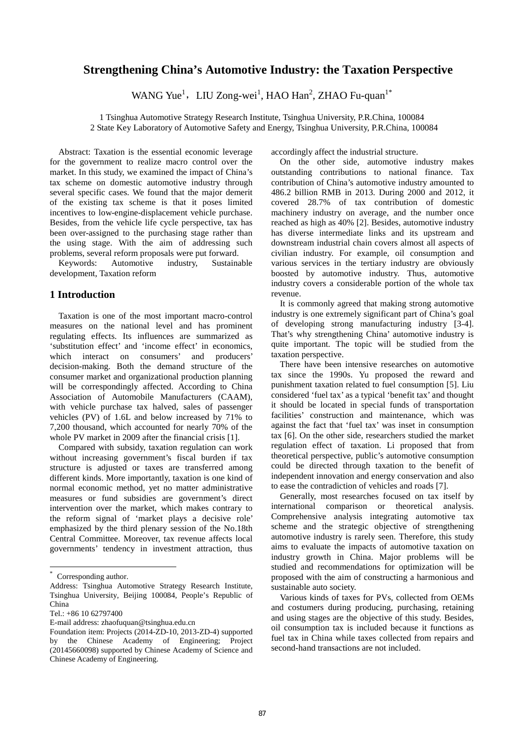# **Strengthening China's Automotive Industry: the Taxation Perspective**

WANG Yue<sup>1</sup>, LIU Zong-wei<sup>1</sup>, HAO Han<sup>2</sup>, ZHAO Fu-quan<sup>1\*</sup>

1 Tsinghua Automotive Strategy Research Institute, Tsinghua University, P.R.China, 100084 2 State Key Laboratory of Automotive Safety and Energy, Tsinghua University, P.R.China, 100084

Abstract: Taxation is the essential economic leverage for the government to realize macro control over the market. In this study, we examined the impact of China's tax scheme on domestic automotive industry through several specific cases. We found that the major demerit of the existing tax scheme is that it poses limited incentives to low-engine-displacement vehicle purchase. Besides, from the vehicle life cycle perspective, tax has been over-assigned to the purchasing stage rather than the using stage. With the aim of addressing such problems, several reform proposals were put forward.

Keywords: Automotive industry, Sustainable development, Taxation reform [\\*](#page-0-0)

# **1 Introduction**

Taxation is one of the most important macro-control measures on the national level and has prominent regulating effects. Its influences are summarized as 'substitution effect' and 'income effect' in economics,<br>which interact on consumers' and producers' which interact on consumers' decision-making. Both the demand structure of the consumer market and organizational production planning will be correspondingly affected. According to China Association of Automobile Manufacturers (CAAM), with vehicle purchase tax halved, sales of passenger vehicles (PV) of 1.6L and below increased by 71% to 7,200 thousand, which accounted for nearly 70% of the whole PV market in 2009 after the financial crisis [1].

Compared with subsidy, taxation regulation can work without increasing government's fiscal burden if tax structure is adjusted or taxes are transferred among different kinds. More importantly, taxation is one kind of normal economic method, yet no matter administrative measures or fund subsidies are government's direct intervention over the market, which makes contrary to the reform signal of 'market plays a decisive role' emphasized by the third plenary session of the No.18th Central Committee. Moreover, tax revenue affects local governments' tendency in investment attraction, thus

**.** 

accordingly affect the industrial structure.

On the other side, automotive industry makes outstanding contributions to national finance. Tax contribution of China's automotive industry amounted to 486.2 billion RMB in 2013. During 2000 and 2012, it covered 28.7% of tax contribution of domestic machinery industry on average, and the number once reached as high as 40% [2]. Besides, automotive industry has diverse intermediate links and its upstream and downstream industrial chain covers almost all aspects of civilian industry. For example, oil consumption and various services in the tertiary industry are obviously boosted by automotive industry. Thus, automotive industry covers a considerable portion of the whole tax revenue.

It is commonly agreed that making strong automotive industry is one extremely significant part of China's goal of developing strong manufacturing industry [3-4]. That's why strengthening China' automotive industry is quite important. The topic will be studied from the taxation perspective.

There have been intensive researches on automotive tax since the 1990s. Yu proposed the reward and punishment taxation related to fuel consumption [5]. Liu considered 'fuel tax' as a typical 'benefit tax' and thought it should be located in special funds of transportation facilities' construction and maintenance, which was against the fact that 'fuel tax' was inset in consumption tax [6]. On the other side, researchers studied the market regulation effect of taxation. Li proposed that from theoretical perspective, public's automotive consumption could be directed through taxation to the benefit of independent innovation and energy conservation and also to ease the contradiction of vehicles and roads [7].

Generally, most researches focused on tax itself by international comparison or theoretical analysis. Comprehensive analysis integrating automotive tax scheme and the strategic objective of strengthening automotive industry is rarely seen. Therefore, this study aims to evaluate the impacts of automotive taxation on industry growth in China. Major problems will be studied and recommendations for optimization will be proposed with the aim of constructing a harmonious and sustainable auto society.

Various kinds of taxes for PVs, collected from OEMs and costumers during producing, purchasing, retaining and using stages are the objective of this study. Besides, oil consumption tax is included because it functions as fuel tax in China while taxes collected from repairs and second-hand transactions are not included.

Corresponding author.

<span id="page-0-0"></span>Address: Tsinghua Automotive Strategy Research Institute, Tsinghua University, Beijing 100084, People's Republic of China

Tel.: +86 10 62797400

E-mail address: zhaofuquan@tsinghua.edu.cn

Foundation item: Projects (2014-ZD-10, 2013-ZD-4) supported by the Chinese Academy of Engineering; Project (20145660098) supported by Chinese Academy of Science and Chinese Academy of Engineering.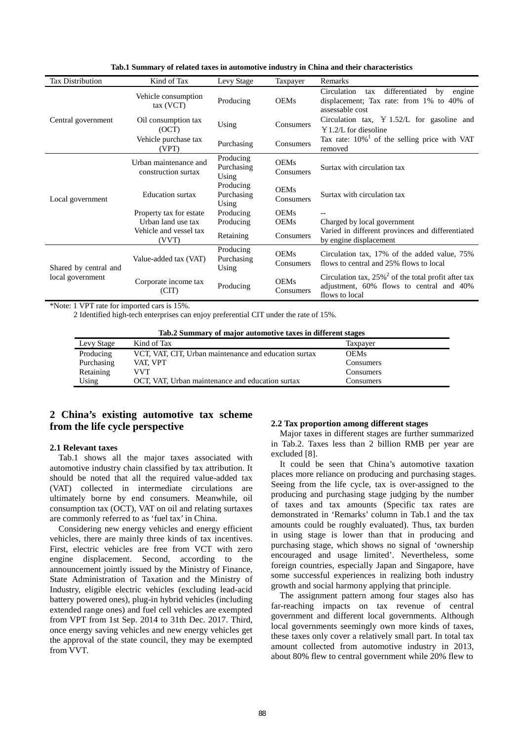| <b>Tax Distribution</b>                   | Kind of Tax                                  | Levy Stage                       | Taxpayer                                                                                 | Remarks                                                                                                                          |  |
|-------------------------------------------|----------------------------------------------|----------------------------------|------------------------------------------------------------------------------------------|----------------------------------------------------------------------------------------------------------------------------------|--|
|                                           | Vehicle consumption<br>$tax$ $(VCT)$         | Producing                        | <b>OEMs</b>                                                                              | Circulation<br>differentiated<br>by<br>engine<br>tax<br>displacement; Tax rate: from 1% to 40% of<br>assessable cost             |  |
| Central government                        | Oil consumption tax<br>(OCT)                 | Using                            | Circulation tax, $\angle 1.52/L$ for gasoline and<br>Consumers<br>$Y1.2/L$ for diesoline |                                                                                                                                  |  |
|                                           | Vehicle purchase tax<br>(VPT)                | Purchasing                       | Consumers                                                                                | Tax rate: $10\%$ <sup>1</sup> of the selling price with VAT<br>removed                                                           |  |
| Local government                          | Urban maintenance and<br>construction surtax | Producing<br>Purchasing<br>Using | <b>OEMs</b><br>Consumers                                                                 | Surtax with circulation tax                                                                                                      |  |
|                                           | <b>Education</b> surtax                      | Producing<br>Purchasing<br>Using | <b>OEMs</b><br>Consumers                                                                 | Surtax with circulation tax                                                                                                      |  |
|                                           | Property tax for estate                      | Producing                        | <b>OEMs</b>                                                                              |                                                                                                                                  |  |
|                                           | Urban land use tax                           | Producing                        | <b>OEMs</b>                                                                              | Charged by local government                                                                                                      |  |
|                                           | Vehicle and vessel tax<br>(VVT)              | Retaining                        | Consumers                                                                                | Varied in different provinces and differentiated<br>by engine displacement                                                       |  |
| Shared by central and<br>local government | Value-added tax (VAT)                        | Producing<br>Purchasing<br>Using | <b>OEMs</b><br>Consumers                                                                 | Circulation tax, 17% of the added value, 75%<br>flows to central and 25% flows to local                                          |  |
|                                           | Corporate income tax<br>(CIT)                | Producing                        | <b>OEMs</b><br>Consumers                                                                 | Circulation tax, $25\%$ <sup>2</sup> of the total profit after tax<br>adjustment, 60% flows to central and 40%<br>flows to local |  |

**Tab.1 Summary of related taxes in automotive industry in China and their characteristics**

\*Note: 1 VPT rate for imported cars is 15%.

2 Identified high-tech enterprises can enjoy preferential CIT under the rate of 15%.

|  | Tab.2 Summary of major automotive taxes in different stages |  |  |  |  |  |
|--|-------------------------------------------------------------|--|--|--|--|--|
|--|-------------------------------------------------------------|--|--|--|--|--|

| Levy Stage | Kind of Tax                                           | Taxpayer    |
|------------|-------------------------------------------------------|-------------|
| Producing  | VCT, VAT, CIT, Urban maintenance and education surtax | <b>OEMs</b> |
| Purchasing | VAT. VPT                                              | Consumers   |
| Retaining  | VVT                                                   | Consumers   |
| Using      | OCT, VAT, Urban maintenance and education surtax      | Consumers   |

# **2 China's existing automotive tax scheme from the life cycle perspective**

## **2.1 Relevant taxes**

Tab.1 shows all the major taxes associated with automotive industry chain classified by tax attribution. It should be noted that all the required value-added tax (VAT) collected in intermediate circulations are ultimately borne by end consumers. Meanwhile, oil consumption tax (OCT), VAT on oil and relating surtaxes are commonly referred to as 'fuel tax' in China.

Considering new energy vehicles and energy efficient vehicles, there are mainly three kinds of tax incentives. First, electric vehicles are free from VCT with zero engine displacement. Second, according to the announcement jointly issued by the Ministry of Finance, State Administration of Taxation and the Ministry of Industry, eligible electric vehicles (excluding lead-acid battery powered ones), plug-in hybrid vehicles (including extended range ones) and fuel cell vehicles are exempted from VPT from 1st Sep. 2014 to 31th Dec. 2017. Third, once energy saving vehicles and new energy vehicles get the approval of the state council, they may be exempted from VVT.

#### **2.2 Tax proportion among different stages**

Major taxes in different stages are further summarized in Tab.2. Taxes less than 2 billion RMB per year are excluded [8].

It could be seen that China's automotive taxation places more reliance on producing and purchasing stages. Seeing from the life cycle, tax is over-assigned to the producing and purchasing stage judging by the number of taxes and tax amounts (Specific tax rates are demonstrated in 'Remarks' column in Tab.1 and the tax amounts could be roughly evaluated). Thus, tax burden in using stage is lower than that in producing and purchasing stage, which shows no signal of 'ownership encouraged and usage limited'. Nevertheless, some foreign countries, especially Japan and Singapore, have some successful experiences in realizing both industry growth and social harmony applying that principle.

The assignment pattern among four stages also has far-reaching impacts on tax revenue of central government and different local governments. Although local governments seemingly own more kinds of taxes, these taxes only cover a relatively small part. In total tax amount collected from automotive industry in 2013, about 80% flew to central government while 20% flew to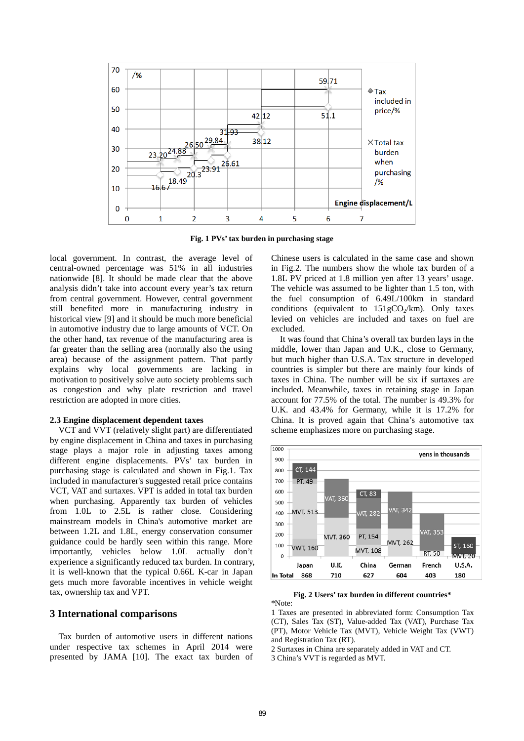

**Fig. 1 PVs' tax burden in purchasing stage**

local government. In contrast, the average level of central-owned percentage was 51% in all industries nationwide [8]. It should be made clear that the above analysis didn't take into account every year's tax return from central government. However, central government still benefited more in manufacturing industry in historical view [9] and it should be much more beneficial in automotive industry due to large amounts of VCT. On the other hand, tax revenue of the manufacturing area is far greater than the selling area (normally also the using area) because of the assignment pattern. That partly explains why local governments are lacking in motivation to positively solve auto society problems such as congestion and why plate restriction and travel restriction are adopted in more cities.

#### **2.3 Engine displacement dependent taxes**

VCT and VVT (relatively slight part) are differentiated by engine displacement in China and taxes in purchasing stage plays a major role in adjusting taxes among different engine displacements. PVs' tax burden in purchasing stage is calculated and shown in Fig.1. Tax included in manufacturer's suggested retail price contains VCT, VAT and surtaxes. VPT is added in total tax burden when purchasing. Apparently tax burden of vehicles from 1.0L to 2.5L is rather close. Considering mainstream models in China's automotive market are between 1.2L and 1.8L, energy conservation consumer guidance could be hardly seen within this range. More importantly, vehicles below 1.0L actually don't experience a significantly reduced tax burden. In contrary, it is well-known that the typical 0.66L K-car in Japan gets much more favorable incentives in vehicle weight tax, ownership tax and VPT.

# **3 International comparisons**

Tax burden of automotive users in different nations under respective tax schemes in April 2014 were presented by JAMA [10]. The exact tax burden of Chinese users is calculated in the same case and shown in Fig.2. The numbers show the whole tax burden of a 1.8L PV priced at 1.8 million yen after 13 years' usage. The vehicle was assumed to be lighter than 1.5 ton, with the fuel consumption of 6.49L/100km in standard conditions (equivalent to  $151 \text{gCO}_{\gamma}/\text{km}$ ). Only taxes levied on vehicles are included and taxes on fuel are excluded.

It was found that China's overall tax burden lays in the middle, lower than Japan and U.K., close to Germany, but much higher than U.S.A. Tax structure in developed countries is simpler but there are mainly four kinds of taxes in China. The number will be six if surtaxes are included. Meanwhile, taxes in retaining stage in Japan account for 77.5% of the total. The number is 49.3% for U.K. and 43.4% for Germany, while it is 17.2% for China. It is proved again that China's automotive tax scheme emphasizes more on purchasing stage.



**Fig. 2 Users' tax burden in different countries\*** \*Note:

1 Taxes are presented in abbreviated form: Consumption Tax (CT), Sales Tax (ST), Value-added Tax (VAT), Purchase Tax (PT), Motor Vehicle Tax (MVT), Vehicle Weight Tax (VWT) and Registration Tax (RT).

2 Surtaxes in China are separately added in VAT and CT.

3 China's VVT is regarded as MVT.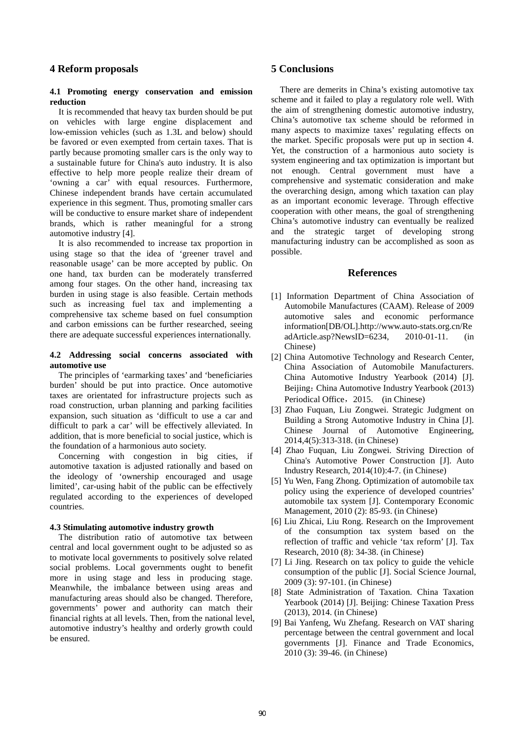## **4 Reform proposals**

### **4.1 Promoting energy conservation and emission reduction**

It is recommended that heavy tax burden should be put on vehicles with large engine displacement and low-emission vehicles (such as 1.3L and below) should be favored or even exempted from certain taxes. That is partly because promoting smaller cars is the only way to a sustainable future for China's auto industry. It is also effective to help more people realize their dream of 'owning a car' with equal resources. Furthermore, Chinese independent brands have certain accumulated experience in this segment. Thus, promoting smaller cars will be conductive to ensure market share of independent brands, which is rather meaningful for a strong automotive industry [4].

It is also recommended to increase tax proportion in using stage so that the idea of 'greener travel and reasonable usage' can be more accepted by public. On one hand, tax burden can be moderately transferred among four stages. On the other hand, increasing tax burden in using stage is also feasible. Certain methods such as increasing fuel tax and implementing a comprehensive tax scheme based on fuel consumption and carbon emissions can be further researched, seeing there are adequate successful experiences internationally.

### **4.2 Addressing social concerns associated with automotive use**

The principles of 'earmarking taxes' and 'beneficiaries burden' should be put into practice. Once automotive taxes are orientated for infrastructure projects such as road construction, urban planning and parking facilities expansion, such situation as 'difficult to use a car and difficult to park a car' will be effectively alleviated. In addition, that is more beneficial to social justice, which is the foundation of a harmonious auto society.

Concerning with congestion in big cities, if automotive taxation is adjusted rationally and based on the ideology of 'ownership encouraged and usage limited', car-using habit of the public can be effectively regulated according to the experiences of developed countries.

#### **4.3 Stimulating automotive industry growth**

 The distribution ratio of automotive tax between central and local government ought to be adjusted so as to motivate local governments to positively solve related social problems. Local governments ought to benefit more in using stage and less in producing stage. Meanwhile, the imbalance between using areas and manufacturing areas should also be changed. Therefore, governments' power and authority can match their financial rights at all levels. Then, from the national level, automotive industry's healthy and orderly growth could be ensured.

## **5 Conclusions**

There are demerits in China's existing automotive tax scheme and it failed to play a regulatory role well. With the aim of strengthening domestic automotive industry, China's automotive tax scheme should be reformed in many aspects to maximize taxes' regulating effects on the market. Specific proposals were put up in section 4. Yet, the construction of a harmonious auto society is system engineering and tax optimization is important but not enough. Central government must have a comprehensive and systematic consideration and make the overarching design, among which taxation can play as an important economic leverage. Through effective cooperation with other means, the goal of strengthening China's automotive industry can eventually be realized and the strategic target of developing strong manufacturing industry can be accomplished as soon as possible.

### **References**

- [1] Information Department of China Association of Automobile Manufactures (CAAM). Release of 2009 automotive sales and economic performance information[DB/OL].http://www.auto-stats.org.cn/Re adArticle.asp?NewsID=6234, 2010-01-11. (in Chinese)
- [2] China Automotive Technology and Research Center, China Association of Automobile Manufacturers. China Automotive Industry Yearbook (2014) [J]. Beijing: China Automotive Industry Yearbook (2013) Periodical Office, 2015. (in Chinese)
- [3] Zhao Fuquan, Liu Zongwei. Strategic Judgment on Building a Strong Automotive Industry in China [J]. Chinese Journal of Automotive Engineering, 2014,4(5):313-318. (in Chinese)
- [4] Zhao Fuquan, Liu Zongwei. Striving Direction of China's Automotive Power Construction [J]. Auto Industry Research, 2014(10):4-7. (in Chinese)
- [5] Yu Wen, Fang Zhong. Optimization of automobile tax policy using the experience of developed countries' automobile tax system [J]. Contemporary Economic Management, 2010 (2): 85-93. (in Chinese)
- [6] Liu Zhicai, Liu Rong. Research on the Improvement of the consumption tax system based on the reflection of traffic and vehicle 'tax reform' [J]. Tax Research, 2010 (8): 34-38. (in Chinese)
- [7] Li Jing. Research on tax policy to guide the vehicle consumption of the public [J]. Social Science Journal, 2009 (3): 97-101. (in Chinese)
- [8] State Administration of Taxation. China Taxation Yearbook (2014) [J]. Beijing: Chinese Taxation Press (2013), 2014. (in Chinese)
- [9] Bai Yanfeng, Wu Zhefang. Research on VAT sharing percentage between the central government and local governments [J]. Finance and Trade Economics, 2010 (3): 39-46. (in Chinese)